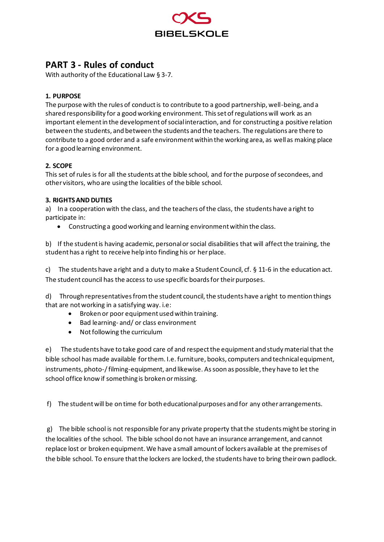

# **PART 3 - Rules of conduct**

With authority of the Educational Law § 3-7.

# **1. PURPOSE**

The purpose with the rules of conduct is to contribute to a good partnership, well-being, and a shared responsibility for a good working environment. This set of regulations will work as an important element in the development of social interaction, and for constructing a positive relation between the students, and between the students and the teachers. The regulations are there to contribute to a good order and a safe environment within the working area, as well as making place for a good learning environment.

# **2. SCOPE**

This set of rules is for all the students at the bible school, and for the purpose of secondees, and other visitors, who are using the localities of the bible school.

## **3. RIGHTS AND DUTIES**

a) In a cooperation with the class, and the teachers of the class, the students have a right to participate in:

• Constructing a good working and learning environment within the class.

b) If the student is having academic, personal or social disabilities that will affectthe training, the student has a right to receive help into finding his or her place.

c) The students have a right and a duty to make a Student Council, cf. § 11-6 in the education act. The student council has the access to use specific boards for their purposes.

d) Through representatives from the student council, the students have a right to mention things that are not working in a satisfying way. i.e:

- Broken or poor equipment used within training.
- Bad learning- and/ or class environment
- Not following the curriculum

e) The students have to take good care of and respect the equipment and study material that the bible school has made available for them. I.e. furniture, books, computers and technical equipment, instruments, photo-/ filming-equipment, and likewise. As soon as possible, they have to let the school office know if something is broken or missing.

f) The student will be on time for both educational purposes and for any other arrangements.

g) The bible school is not responsible for any private property that the students might be storing in the localities of the school. The bible school do not have an insurance arrangement, and cannot replace lost or broken equipment. We have a small amount of lockers available at the premises of the bible school. To ensure that the lockers are locked, the students have to bring their own padlock.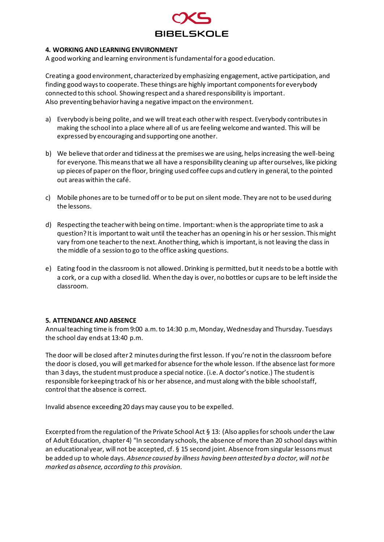

## **4. WORKING AND LEARNING ENVIRONMENT**

A good working and learning environment is fundamental for a good education.

Creating a good environment, characterized by emphasizing engagement, active participation, and finding good ways to cooperate. These things are highly important components for everybody connected to this school. Showing respect and a shared responsibility is important. Also preventing behavior having a negative impact on the environment.

- a) Everybody is being polite, and we will treat each other with respect. Everybody contributes in making the school into a place where all of us are feeling welcome and wanted. This will be expressed by encouraging and supporting one another.
- b) We believe that order and tidiness at the premises we are using, helps increasing the well-being for everyone. This means that we all have a responsibility cleaning up after ourselves, like picking up pieces of paper on the floor, bringing used coffee cups and cutlery in general, to the pointed out areas within the café.
- c) Mobile phones are to be turned off or to be put on silent mode. They are not to be used during the lessons.
- d) Respecting the teacher with being on time. Important: when is the appropriate time to ask a question? It is important to wait until the teacher has an opening in his or her session. This might vary from one teacher to the next. Another thing, which is important, is not leaving the class in the middle of a session to go to the office asking questions.
- e) Eating food in the classroom is not allowed.Drinking is permitted, but it needs to be a bottle with a cork, or a cup with a closed lid. When the day is over, no bottles or cups are to be left inside the classroom.

#### **5. ATTENDANCE AND ABSENCE**

Annual teaching time is from 9:00 a.m. to 14:30 p.m, Monday, Wednesday and Thursday. Tuesdays the school day ends at 13:40 p.m.

The door will be closed after 2 minutes during the first lesson. If you're not in the classroom before the door is closed, you will get marked for absence for the whole lesson. If the absence last for more than 3 days, the student must produce a special notice.(i.e. A doctor's notice.) The student is responsible for keeping track of his or her absence, and must along with the bible school staff, control that the absence is correct.

Invalid absence exceeding 20 days may cause you to be expelled.

Excerpted from the regulation of the Private School Act § 13: (Also applies for schools under the Law of Adult Education, chapter 4) "In secondary schools, the absence of more than 20 school days within an educational year, will not be accepted, cf. § 15 second joint. Absence from singular lessons must be added up to whole days. *Absence caused by illness having been attested by a doctor, will not be marked as absence, according to this provision.*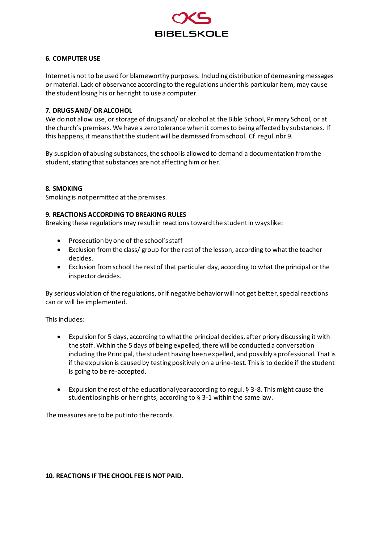

## **6. COMPUTER USE**

Internet is not to be used for blameworthy purposes. Including distribution of demeaning messages or material. Lack of observance according to the regulations under this particular item, may cause the student losing his or her right to use a computer.

## **7. DRUGS AND/ OR ALCOHOL**

We do not allow use, or storage of drugs and/ or alcohol at the Bible School, Primary School, or at the church's premises.We have a zero tolerance when it comes to being affected by substances. If this happens, it means that the student will be dismissed from school. Cf. regul. nbr 9.

By suspicion of abusing substances, the school is allowed to demand a documentation from the student, stating that substances are not affecting him or her.

## **8. SMOKING**

Smoking is not permitted at the premises.

#### **9. REACTIONS ACCORDING TO BREAKING RULES**

Breaking these regulations may result in reactions toward the student in ways like:

- Prosecution by one of the school's staff
- Exclusion from the class/ group for the rest of the lesson, according to what the teacher decides.
- Exclusion from school the rest of that particular day, according to what the principal or the inspector decides.

By serious violation of the regulations, or if negative behavior will not get better, special reactions can or will be implemented.

This includes:

- Expulsion for 5 days, according to what the principal decides, after priory discussing it with the staff. Within the 5 days of being expelled, there will be conducted a conversation including the Principal, the student having been expelled, and possibly a professional. That is if the expulsion is caused by testing positively on a urine-test. This is to decide if the student is going to be re-accepted.
- Expulsion the rest of the educational year according to regul. § 3-8. This might cause the student losing his or her rights, according to § 3-1 within the same law.

The measures are to be put into the records.

#### **10. REACTIONS IF THE CHOOL FEE IS NOT PAID.**